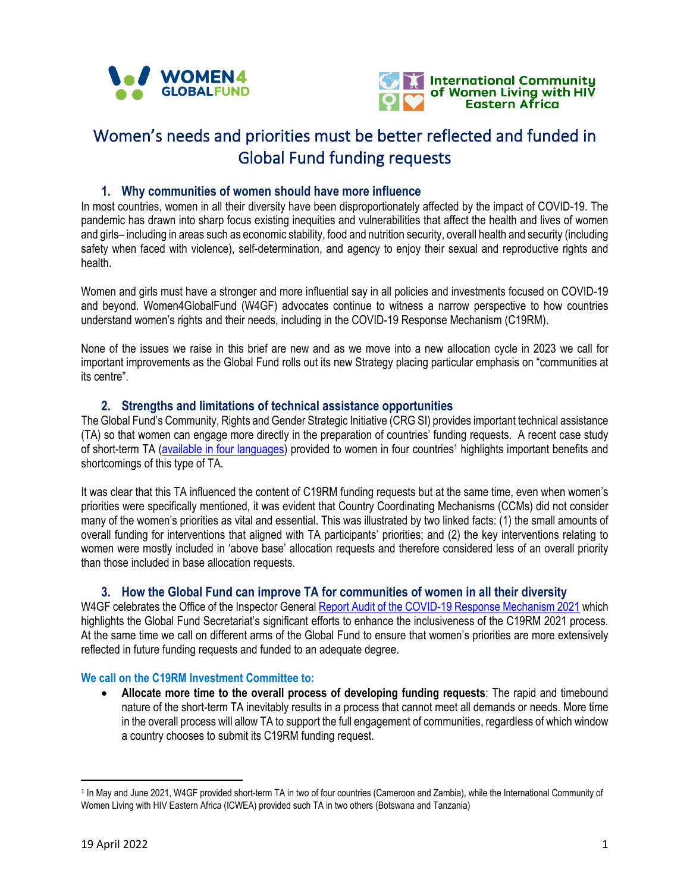



# **Women's needs and priorities must be better reflected and funded in Global Fund funding requests**

## **1. Why communities of women should have more influence**

In most countries, women in all their diversity have been disproportionately affected by the impact of COVID-19. The pandemic has drawn into sharp focus existing inequities and vulnerabilities that affect the health and lives of women and girls– including in areas such as economic stability, food and nutrition security, overall health and security (including safety when faced with violence), self-determination, and agency to enjoy their sexual and reproductive rights and health.

Women and girls must have a stronger and more influential say in all policies and investments focused on COVID-19 and beyond. Women4GlobalFund (W4GF) advocates continue to witness a narrow perspective to how countries understand women's rights and their needs, including in the [COVID-19 Response Mechanism \(C19RM\).](https://www.theglobalfund.org/en/covid-19/response-mechanism/)

None of the issues we raise in this brief are new and as we move into a new allocation cycle in 2023 we call for important improvements as the Global Fund rolls out its new Strategy placing particular emphasis on "communities at its centre".

## **2. Strengths and limitations of technical assistance opportunities**

The Global Fund's Community, Rights and Gender Strategic Initiative (CRG SI) provides important technical assistance (TA) so that women can engage more directly in the preparation of countries' funding requests. A recent case study of short-term TA ([available in four languages](https://women4gf.org/2022/04/08/supporting-communities-of-women-to-influence-c19rm-funding-requests/)) provided to women in four countries<sup>1</sup> highlights important benefits and shortcomings of this type of TA.

It was clear that this TA influenced the content of C19RM funding requests but at the same time, even when women's priorities were specifically mentioned, it was evident that Country Coordinating Mechanisms (CCMs) did not consider many of the women's priorities as vital and essential. This was illustrated by two linked facts: (1) the small amounts of overall funding for interventions that aligned with TA participants' priorities; and (2) the key interventions relating to women were mostly included in 'above base' allocation requests and therefore considered less of an overall priority than those included in base allocation requests.

## **3. How the Global Fund can improve TA for communities of women in all their diversity**

W4GF celebrates the Office of the Inspector General [Report Audit of the COVID-19 Response Mechanism 2021](https://www.theglobalfund.org/media/11878/oig_gf-oig-22-007_report_en.pdf) which highlights the Global Fund Secretariat's significant efforts to enhance the inclusiveness of the C19RM 2021 process. At the same time we call on different arms of the Global Fund to ensure that women's priorities are more extensively reflected in future funding requests and funded to an adequate degree.

## **We call on the C19RM Investment Committee to:**

 **Allocate more time to the overall process of developing funding requests**: The rapid and timebound nature of the short-term TA inevitably results in a process that cannot meet all demands or needs. More time in the overall process will allow TA to support the full engagement of communities, regardless of which window a country chooses to submit its C19RM funding request.

<sup>&</sup>lt;sup>1</sup> In May and June 2021, W4GF provided short-term TA in two of four countries (Cameroon and Zambia), while the International Community of Women Living with HIV Eastern Africa (ICWEA) provided such TA in two others (Botswana and Tanzania)